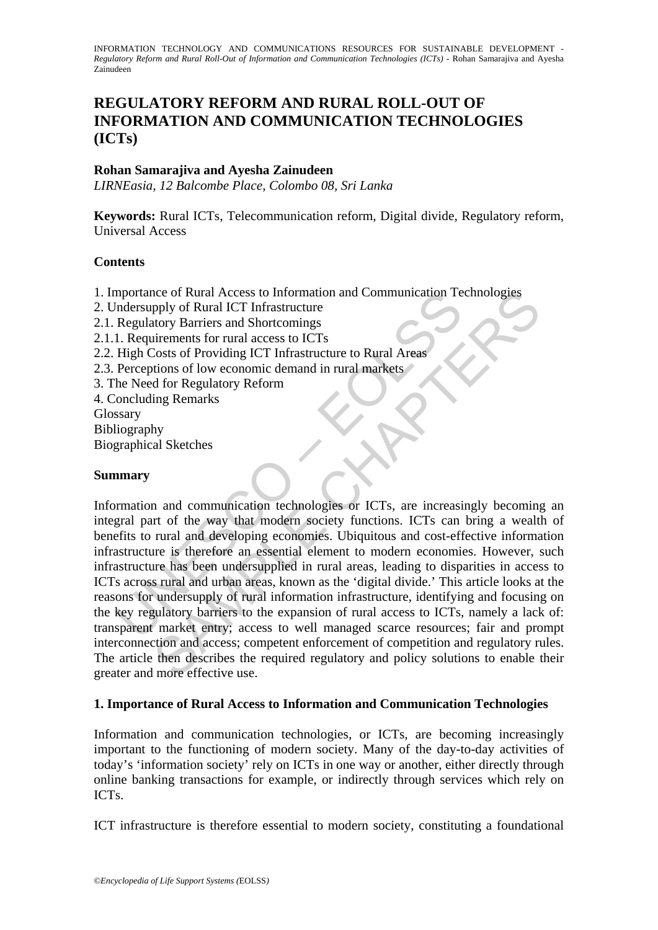# **REGULATORY REFORM AND RURAL ROLL-OUT OF INFORMATION AND COMMUNICATION TECHNOLOGIES (ICTs)**

# **Rohan Samarajiva and Ayesha Zainudeen**

*LIRNEasia, 12 Balcombe Place, Colombo 08, Sri Lanka* 

**Keywords:** Rural ICTs, Telecommunication reform, Digital divide, Regulatory reform, Universal Access

## **Contents**

1. Importance of Rural Access to Information and Communication Technologies

- 2. Undersupply of Rural ICT Infrastructure
- 2.1. Regulatory Barriers and Shortcomings
- 2.1.1. Requirements for rural access to ICTs
- 2.2. High Costs of Providing ICT Infrastructure to Rural Areas
- 2.3. Perceptions of low economic demand in rural markets
- 3. The Need for Regulatory Reform
- 4. Concluding Remarks
- Glossary
- Bibliography
- Biographical Sketches

## **Summary**

mportance of Kural Access to Information and Communication 1e<br>
Indersupply of Rural ICT Infrastructure<br>
Regulatory Barriers and Shortcomings<br>
1. Requirements for rural access to ICTs<br>
High Costs of Providing ICT Infrastruc The of Rural Access to Information and Communication Technologies<br>
pthy of Rural ICT Infrastructure<br>
tory Barriers and Shortcomings<br>
internets for rural access to ICTs<br>
Costs of Providing ICT Infrastructure to Rural Areas<br> Information and communication technologies or ICTs, are increasingly becoming an integral part of the way that modern society functions. ICTs can bring a wealth of benefits to rural and developing economies. Ubiquitous and cost-effective information infrastructure is therefore an essential element to modern economies. However, such infrastructure has been undersupplied in rural areas, leading to disparities in access to ICTs across rural and urban areas, known as the 'digital divide.' This article looks at the reasons for undersupply of rural information infrastructure, identifying and focusing on the key regulatory barriers to the expansion of rural access to ICTs, namely a lack of: transparent market entry; access to well managed scarce resources; fair and prompt interconnection and access; competent enforcement of competition and regulatory rules. The article then describes the required regulatory and policy solutions to enable their greater and more effective use.

### **1. Importance of Rural Access to Information and Communication Technologies**

Information and communication technologies, or ICTs, are becoming increasingly important to the functioning of modern society. Many of the day-to-day activities of today's 'information society' rely on ICTs in one way or another, either directly through online banking transactions for example, or indirectly through services which rely on ICTs.

ICT infrastructure is therefore essential to modern society, constituting a foundational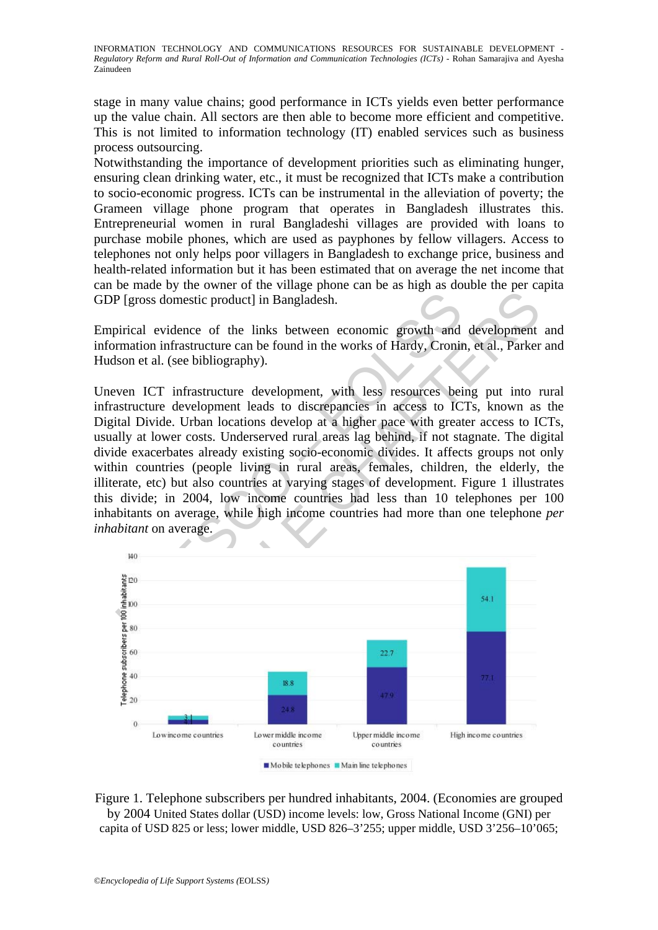stage in many value chains; good performance in ICTs yields even better performance up the value chain. All sectors are then able to become more efficient and competitive. This is not limited to information technology (IT) enabled services such as business process outsourcing.

Notwithstanding the importance of development priorities such as eliminating hunger, ensuring clean drinking water, etc., it must be recognized that ICTs make a contribution to socio-economic progress. ICTs can be instrumental in the alleviation of poverty; the Grameen village phone program that operates in Bangladesh illustrates this. Entrepreneurial women in rural Bangladeshi villages are provided with loans to purchase mobile phones, which are used as payphones by fellow villagers. Access to telephones not only helps poor villagers in Bangladesh to exchange price, business and health-related information but it has been estimated that on average the net income that can be made by the owner of the village phone can be as high as double the per capita GDP [gross domestic product] in Bangladesh.

Empirical evidence of the links between economic growth and development and information infrastructure can be found in the works of Hardy, Cronin, et al., Parker and Hudson et al. (see bibliography).

P [gross domestic product] in Bangladesh.<br>
birical evidence of the links between economic growth and<br>
rmation infrastructure can be found in the works of Hardy, Cronit<br>
slson et al. (see bibliography).<br>
ven ICT infrastruc s domestic product] in Bangladesh.<br>
evidence of the links between economic growth and development<br>
in firastructure can be found in the works of Hardy, Cronin, et al., Parker<br>
al. (see bibliography).<br>
TT infrastructure dev Uneven ICT infrastructure development, with less resources being put into rural infrastructure development leads to discrepancies in access to ICTs, known as the Digital Divide. Urban locations develop at a higher pace with greater access to ICTs, usually at lower costs. Underserved rural areas lag behind, if not stagnate. The digital divide exacerbates already existing socio-economic divides. It affects groups not only within countries (people living in rural areas, females, children, the elderly, the illiterate, etc) but also countries at varying stages of development. Figure 1 illustrates this divide; in 2004, low income countries had less than 10 telephones per 100 inhabitants on average, while high income countries had more than one telephone *per inhabitant* on average.



Figure 1. Telephone subscribers per hundred inhabitants, 2004. (Economies are grouped by 2004 United States dollar (USD) income levels: low, Gross National Income (GNI) per capita of USD 825 or less; lower middle, USD 826–3'255; upper middle, USD 3'256–10'065;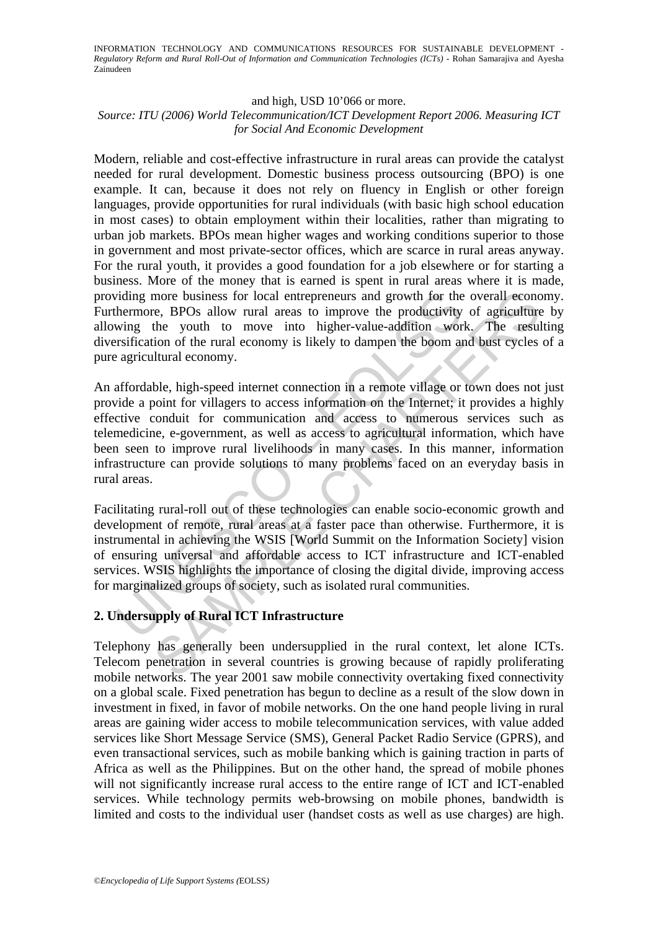#### and high, USD 10'066 or more.

#### *Source: ITU (2006) World Telecommunication/ICT Development Report 2006. Measuring ICT for Social And Economic Development*

Modern, reliable and cost-effective infrastructure in rural areas can provide the catalyst needed for rural development. Domestic business process outsourcing (BPO) is one example. It can, because it does not rely on fluency in English or other foreign languages, provide opportunities for rural individuals (with basic high school education in most cases) to obtain employment within their localities, rather than migrating to urban job markets. BPOs mean higher wages and working conditions superior to those in government and most private-sector offices, which are scarce in rural areas anyway. For the rural youth, it provides a good foundation for a job elsewhere or for starting a business. More of the money that is earned is spent in rural areas where it is made, providing more business for local entrepreneurs and growth for the overall economy. Furthermore, BPOs allow rural areas to improve the productivity of agriculture by allowing the youth to move into higher-value-addition work. The resulting diversification of the rural economy is likely to dampen the boom and bust cycles of a pure agricultural economy.

iding more business for local entrepreneurs and growth for the hermore, BPOs allow rural areas to improve the productivity wing the youth to move into higher-value-addition wor restriction of the rural economy is likely to more business for local entrepreneurs and growth for the overall econce, BPOs allow rural areas to improve the productivity of agriculture<br>the youth to move into higher-value-addition work. The result<br>tion of the rural eco An affordable, high-speed internet connection in a remote village or town does not just provide a point for villagers to access information on the Internet; it provides a highly effective conduit for communication and access to numerous services such as telemedicine, e-government, as well as access to agricultural information, which have been seen to improve rural livelihoods in many cases. In this manner, information infrastructure can provide solutions to many problems faced on an everyday basis in rural areas.

Facilitating rural-roll out of these technologies can enable socio-economic growth and development of remote, rural areas at a faster pace than otherwise. Furthermore, it is instrumental in achieving the WSIS [World Summit on the Information Society] vision of ensuring universal and affordable access to ICT infrastructure and ICT-enabled services. WSIS highlights the importance of closing the digital divide, improving access for marginalized groups of society, such as isolated rural communities.

### **2. Undersupply of Rural ICT Infrastructure**

Telephony has generally been undersupplied in the rural context, let alone ICTs. Telecom penetration in several countries is growing because of rapidly proliferating mobile networks. The year 2001 saw mobile connectivity overtaking fixed connectivity on a global scale. Fixed penetration has begun to decline as a result of the slow down in investment in fixed, in favor of mobile networks. On the one hand people living in rural areas are gaining wider access to mobile telecommunication services, with value added services like Short Message Service (SMS), General Packet Radio Service (GPRS), and even transactional services, such as mobile banking which is gaining traction in parts of Africa as well as the Philippines. But on the other hand, the spread of mobile phones will not significantly increase rural access to the entire range of ICT and ICT-enabled services. While technology permits web-browsing on mobile phones, bandwidth is limited and costs to the individual user (handset costs as well as use charges) are high.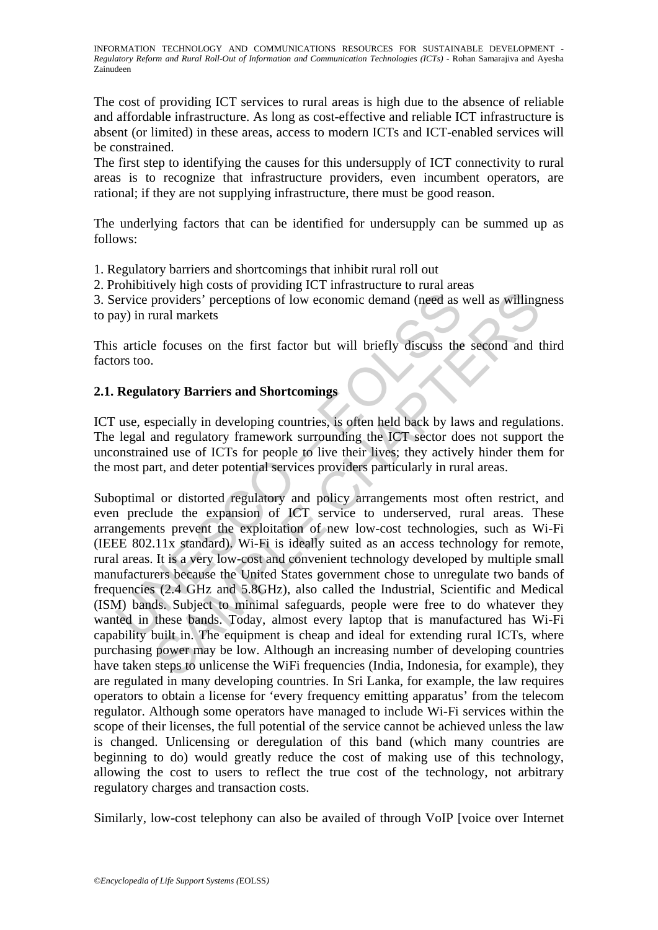The cost of providing ICT services to rural areas is high due to the absence of reliable and affordable infrastructure. As long as cost-effective and reliable ICT infrastructure is absent (or limited) in these areas, access to modern ICTs and ICT-enabled services will be constrained.

The first step to identifying the causes for this undersupply of ICT connectivity to rural areas is to recognize that infrastructure providers, even incumbent operators, are rational; if they are not supplying infrastructure, there must be good reason.

The underlying factors that can be identified for undersupply can be summed up as follows:

1. Regulatory barriers and shortcomings that inhibit rural roll out

2. Prohibitively high costs of providing ICT infrastructure to rural areas

3. Service providers' perceptions of low economic demand (need as well as willingness to pay) in rural markets

This article focuses on the first factor but will briefly discuss the second and third factors too.

## **2.1. Regulatory Barriers and Shortcomings**

ICT use, especially in developing countries, is often held back by laws and regulations. The legal and regulatory framework surrounding the ICT sector does not support the unconstrained use of ICTs for people to live their lives; they actively hinder them for the most part, and deter potential services providers particularly in rural areas.

ervice providers' perceptions of low economic demand (need as<br>ay) in rural markets<br>sarticle focuses on the first factor but will briefly discuss the<br>ors too.<br>**Regulatory Barriers and Shortcomings**<br>use, especially in develo From the state of the model and the model as well as willing<br>throwiders' perceptions of low economic demand (need as well as willing<br>ural markets<br>e focuses on the first factor but will briefly discuss the second and t<br>ator Suboptimal or distorted regulatory and policy arrangements most often restrict, and even preclude the expansion of ICT service to underserved, rural areas. These arrangements prevent the exploitation of new low-cost technologies, such as Wi-Fi (IEEE 802.11x standard). Wi-Fi is ideally suited as an access technology for remote, rural areas. It is a very low-cost and convenient technology developed by multiple small manufacturers because the United States government chose to unregulate two bands of frequencies (2.4 GHz and 5.8GHz), also called the Industrial, Scientific and Medical (ISM) bands. Subject to minimal safeguards, people were free to do whatever they wanted in these bands. Today, almost every laptop that is manufactured has Wi-Fi capability built in. The equipment is cheap and ideal for extending rural ICTs, where purchasing power may be low. Although an increasing number of developing countries have taken steps to unlicense the WiFi frequencies (India, Indonesia, for example), they are regulated in many developing countries. In Sri Lanka, for example, the law requires operators to obtain a license for 'every frequency emitting apparatus' from the telecom regulator. Although some operators have managed to include Wi-Fi services within the scope of their licenses, the full potential of the service cannot be achieved unless the law is changed. Unlicensing or deregulation of this band (which many countries are beginning to do) would greatly reduce the cost of making use of this technology, allowing the cost to users to reflect the true cost of the technology, not arbitrary regulatory charges and transaction costs.

Similarly, low-cost telephony can also be availed of through VoIP [voice over Internet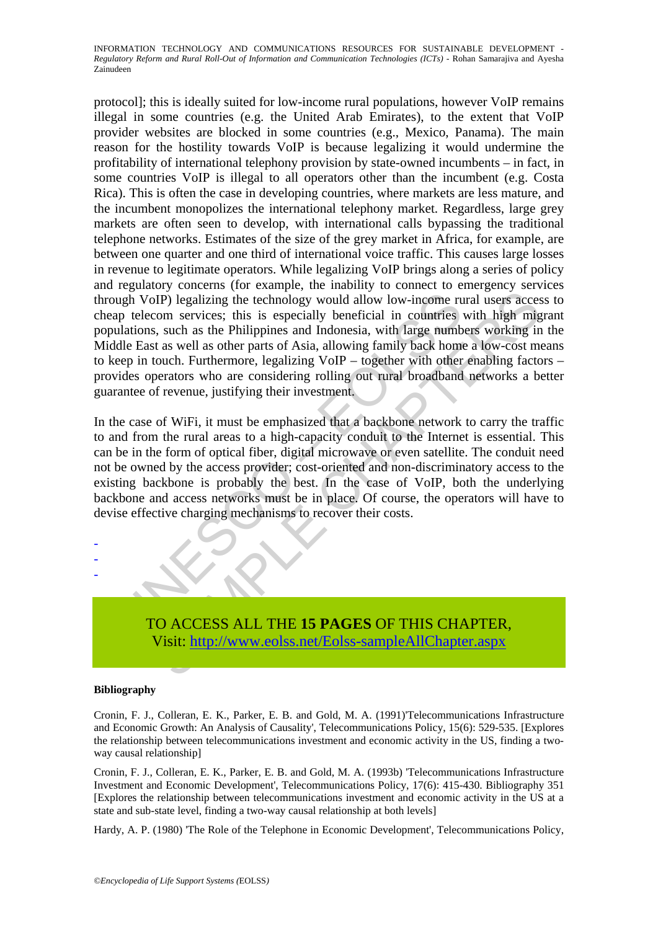ugh VoIP) legalizing the technology would allow low-income rup telecom services; this is especially beneficial in countries ulations, such as the Philippines and Indonesia, with large numble East as well as other parts of DIP) legalizing the technology would allow low-income rural users accesom services; this is especially beneficial in countries with high mig-<br>s, such as the Philippines and Indonesia, with large numbers working in<br>s, s, su protocol]; this is ideally suited for low-income rural populations, however VoIP remains illegal in some countries (e.g. the United Arab Emirates), to the extent that VoIP provider websites are blocked in some countries (e.g., Mexico, Panama). The main reason for the hostility towards VoIP is because legalizing it would undermine the profitability of international telephony provision by state-owned incumbents – in fact, in some countries VoIP is illegal to all operators other than the incumbent (e.g. Costa Rica). This is often the case in developing countries, where markets are less mature, and the incumbent monopolizes the international telephony market. Regardless, large grey markets are often seen to develop, with international calls bypassing the traditional telephone networks. Estimates of the size of the grey market in Africa, for example, are between one quarter and one third of international voice traffic. This causes large losses in revenue to legitimate operators. While legalizing VoIP brings along a series of policy and regulatory concerns (for example, the inability to connect to emergency services through VoIP) legalizing the technology would allow low-income rural users access to cheap telecom services; this is especially beneficial in countries with high migrant populations, such as the Philippines and Indonesia, with large numbers working in the Middle East as well as other parts of Asia, allowing family back home a low-cost means to keep in touch. Furthermore, legalizing VoIP – together with other enabling factors – provides operators who are considering rolling out rural broadband networks a better guarantee of revenue, justifying their investment.

In the case of WiFi, it must be emphasized that a backbone network to carry the traffic to and from the rural areas to a high-capacity conduit to the Internet is essential. This can be in the form of optical fiber, digital microwave or even satellite. The conduit need not be owned by the access provider; cost-oriented and non-discriminatory access to the existing backbone is probably the best. In the case of VoIP, both the underlying backbone and access networks must be in place. Of course, the operators will have to devise effective charging mechanisms to recover their costs.



#### **Bibliography**

- - -

Cronin, F. J., Colleran, E. K., Parker, E. B. and Gold, M. A. (1991)'Telecommunications Infrastructure and Economic Growth: An Analysis of Causality', Telecommunications Policy, 15(6): 529-535. [Explores the relationship between telecommunications investment and economic activity in the US, finding a twoway causal relationship]

Cronin, F. J., Colleran, E. K., Parker, E. B. and Gold, M. A. (1993b) 'Telecommunications Infrastructure Investment and Economic Development', Telecommunications Policy, 17(6): 415-430. Bibliography 351 [Explores the relationship between telecommunications investment and economic activity in the US at a state and sub-state level, finding a two-way causal relationship at both levels]

Hardy, A. P. (1980) 'The Role of the Telephone in Economic Development', Telecommunications Policy,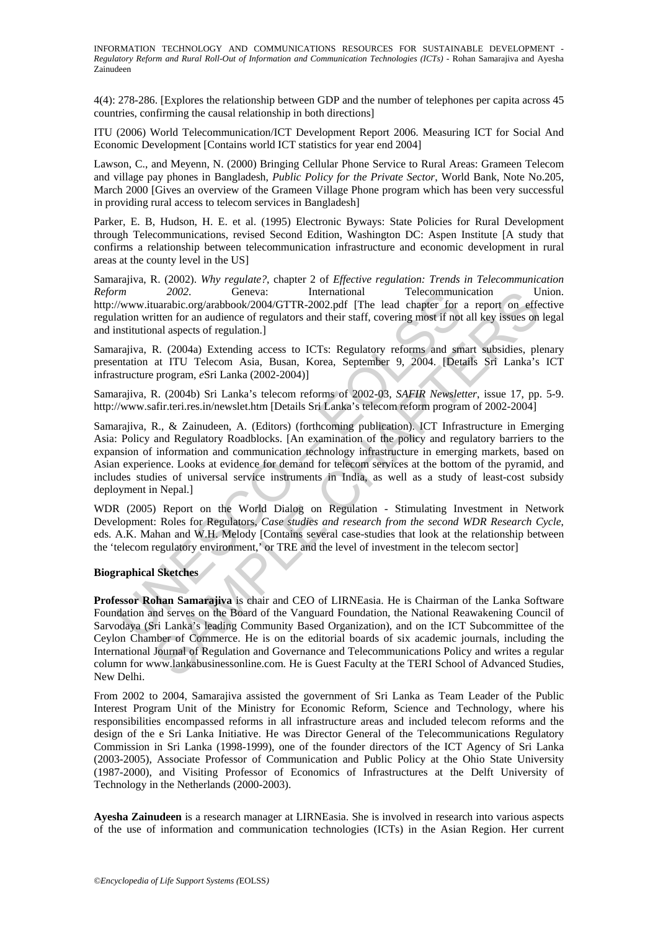4(4): 278-286. [Explores the relationship between GDP and the number of telephones per capita across 45 countries, confirming the causal relationship in both directions]

ITU (2006) World Telecommunication/ICT Development Report 2006. Measuring ICT for Social And Economic Development [Contains world ICT statistics for year end 2004]

Lawson, C., and Meyenn, N. (2000) Bringing Cellular Phone Service to Rural Areas: Grameen Telecom and village pay phones in Bangladesh, *Public Policy for the Private Sector*, World Bank, Note No.205, March 2000 [Gives an overview of the Grameen Village Phone program which has been very successful in providing rural access to telecom services in Bangladesh]

Parker, E. B, Hudson, H. E. et al. (1995) Electronic Byways: State Policies for Rural Development through Telecommunications, revised Second Edition, Washington DC: Aspen Institute [A study that confirms a relationship between telecommunication infrastructure and economic development in rural areas at the county level in the US]

Samarajiva, R. (2002). *Why regulate?*, chapter 2 of *Effective regulation: Trends in Telecommunication Reform 2002*. Geneva: International Telecommunication Union. http://www.ituarabic.org/arabbook/2004/GTTR-2002.pdf [The lead chapter for a report on effective regulation written for an audience of regulators and their staff, covering most if not all key issues on legal and institutional aspects of regulation.]

Samarajiva, R. (2004a) Extending access to ICTs: Regulatory reforms and smart subsidies, plenary presentation at ITU Telecom Asia, Busan, Korea, September 9, 2004. [Details Sri Lanka's ICT infrastructure program, *e*Sri Lanka (2002-2004)]

Samarajiva, R. (2004b) Sri Lanka's telecom reforms of 2002-03, *SAFIR Newsletter*, issue 17, pp. 5-9. http://www.safir.teri.res.in/newslet.htm [Details Sri Lanka's telecom reform program of 2002-2004]

rm<br>
"Thermational Telecommunidation (The lead chapter<br>
"(www.ituarabic.org/arabbook/2004/GTTR-2002.pdf [The lead chapter for<br>
lation written for an audience of regulators and their staff, covering most if not<br>
natitutional Samarajiva, R., & Zainudeen, A. (Editors) (forthcoming publication). ICT Infrastructure in Emerging Asia: Policy and Regulatory Roadblocks. [An examination of the policy and regulatory barriers to the expansion of information and communication technology infrastructure in emerging markets, based on Asian experience. Looks at evidence for demand for telecom services at the bottom of the pyramid, and includes studies of universal service instruments in India, as well as a study of least-cost subsidy deployment in Nepal.]

WDR (2005) Report on the World Dialog on Regulation - Stimulating Investment in Network Development: Roles for Regulators, *Case studies and research from the second WDR Research Cycle*, eds. A.K. Mahan and W.H. Melody [Contains several case-studies that look at the relationship between the 'telecom regulatory environment,' or TRE and the level of investment in the telecom sector]

#### **Biographical Sketches**

2002.<br>
2002. Geneva: International<br>
2002. Geneva: International Universation<br>
transmission organishook/2004/GTTR-2002.pdf [The lead chapter for a report on effective<br>
itten for an audience of regulation.]<br>
and aspects of **Professor Rohan Samarajiva** is chair and CEO of LIRNEasia. He is Chairman of the Lanka Software Foundation and serves on the Board of the Vanguard Foundation, the National Reawakening Council of Sarvodaya (Sri Lanka's leading Community Based Organization), and on the ICT Subcommittee of the Ceylon Chamber of Commerce. He is on the editorial boards of six academic journals, including the International Journal of Regulation and Governance and Telecommunications Policy and writes a regular column for www.lankabusinessonline.com. He is Guest Faculty at the TERI School of Advanced Studies, New Delhi.

From 2002 to 2004, Samarajiva assisted the government of Sri Lanka as Team Leader of the Public Interest Program Unit of the Ministry for Economic Reform, Science and Technology, where his responsibilities encompassed reforms in all infrastructure areas and included telecom reforms and the design of the e Sri Lanka Initiative. He was Director General of the Telecommunications Regulatory Commission in Sri Lanka (1998-1999), one of the founder directors of the ICT Agency of Sri Lanka (2003-2005), Associate Professor of Communication and Public Policy at the Ohio State University (1987-2000), and Visiting Professor of Economics of Infrastructures at the Delft University of Technology in the Netherlands (2000-2003).

**Ayesha Zainudeen** is a research manager at LIRNEasia. She is involved in research into various aspects of the use of information and communication technologies (ICTs) in the Asian Region. Her current